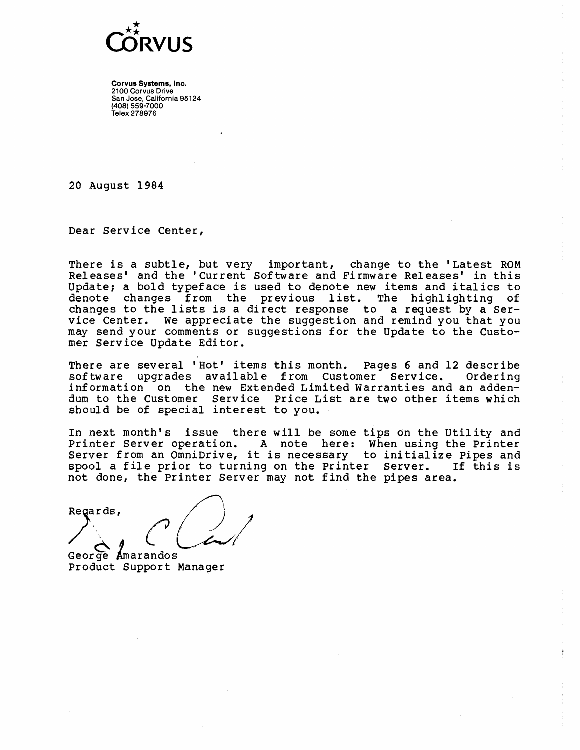

20 August 1984

Dear Service Center,

There is a subtle, but very important, change to the 'Latest ROM Releases' and the 'Current Software and Firmware Releases' in this Update; a bold typeface is used to denote new items and italics to denote changes from the previous list. The highlighting of changes to the lists is <sup>a</sup> direct response to <sup>a</sup> request by <sup>a</sup> Service Center. We appreciate the suggestion and remind you that you may send your comments or suggestions for the update to the Customer Service Update Editor.

There are several 'Hot' items this month. Pages 6 and 12 describe software upgrades available from Customer Service. information on the new Extended Limited warranties and an addendum to the Customer Service Price List are two other items which should be of special interest to you.

In next month's issue there will be some tips on the Utility and Printer Server operation. A note here: When using the Printer Server from an OmniDrive, it is necessary to initialize Pipes and spool <sup>a</sup> file prior to turning on the Printer Server. If this is

not done, the Printer Server may not find the pipes area.<br>Regards,

George Amarandos Product Support Manager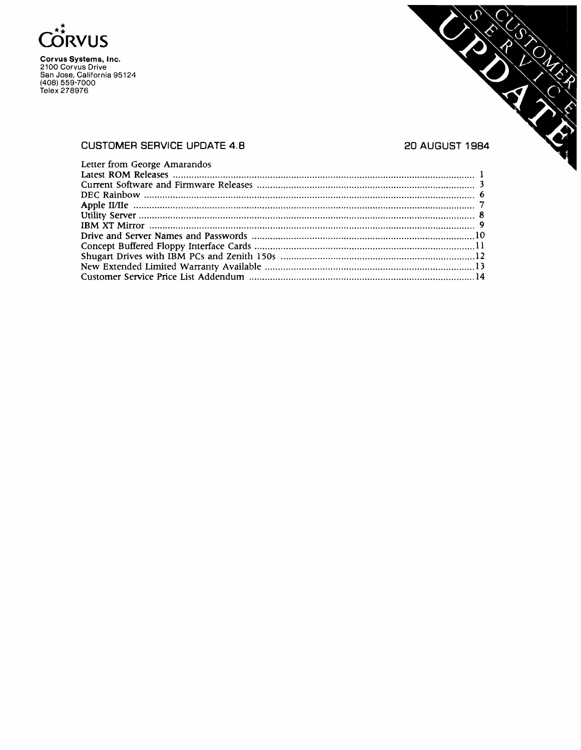



#### CUSTOMER SERVICE UPDATE 4.8 20 AUGUST 1984

#### Letter from George Amarandos Latest ROM Releases 1 Current Software and Firmware Releases 3 DEC Rainbo'w 6 Apple IIIIIe 7 Utility Server 8 IBM XT Mirror 9 Drive and Server Names and Passwords 10 Concept Buffered Floppy Interface Cards 11 Shugart Drives with IBM PCs and Zenith 150s 12 New Extended Limited Warranty Available 13 Customer Service Price List Addendum 14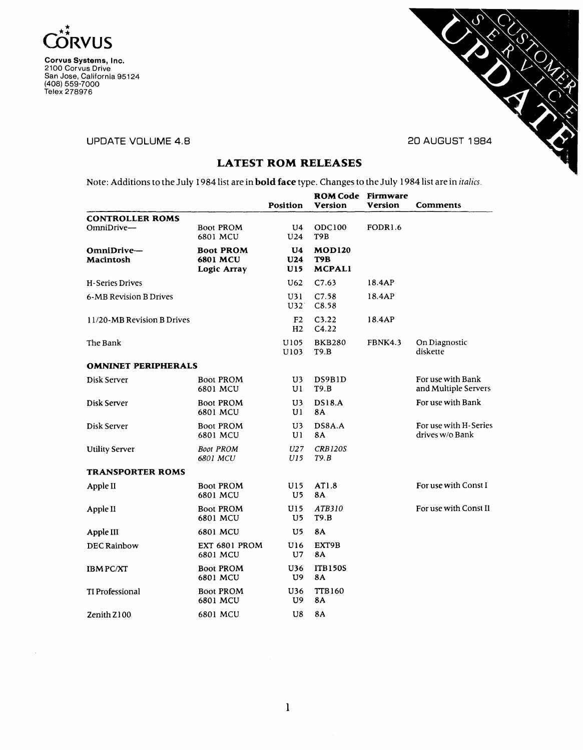

 $\hat{\boldsymbol{\epsilon}}$ 

Corvus Systems, Inc. 2100 Corvus Drive San Jose, California 95124 (408) 559-7000 Telex 278976

#### UPDATE VOLUME 4.8 20 AUGUST 1984



# LATEST ROM RELEASES

Note: Additions to the July 1984list are in bold face type. Changes to the July 1984 list are in *italics.*

|                                        |                                             | <b>Position</b>                  | <b>ROM Code Firmware</b><br><b>Version</b> | Version             | <b>Comments</b>                           |
|----------------------------------------|---------------------------------------------|----------------------------------|--------------------------------------------|---------------------|-------------------------------------------|
| <b>CONTROLLER ROMS</b><br>$OmniDrive-$ | <b>Boot PROM</b><br>6801 MCU                | U4<br>U24                        | ODC100<br>T9B                              | FODR <sub>1.6</sub> |                                           |
| OmniDrive-<br>Macintosh                | <b>Boot PROM</b><br>6801 MCU<br>Logic Array | U <sub>4</sub><br>U24<br>U15     | <b>MOD120</b><br>T9B<br><b>MCPALI</b>      |                     |                                           |
| H-Series Drives                        |                                             | U <sub>62</sub>                  | C7.63                                      | 18.4AP              |                                           |
| 6-MB Revision B Drives                 |                                             | U31<br>U32                       | C7.58<br>C8.58                             | 18.4AP              |                                           |
| 11/20-MB Revision B Drives             |                                             | F <sub>2</sub><br>H <sub>2</sub> | C3.22<br>C4.22                             | 18.4AP              |                                           |
| The Bank                               |                                             | U105<br>U103                     | <b>BKB280</b><br>T9.B                      | FBNK4.3             | On Diagnostic<br>diskette                 |
| <b>OMNINET PERIPHERALS</b>             |                                             |                                  |                                            |                     |                                           |
| Disk Server                            | <b>Boot PROM</b><br>6801 MCU                | U3<br>Ul                         | DS9B1D<br>T9.B                             |                     | For use with Bank<br>and Multiple Servers |
| Disk Server                            | <b>Boot PROM</b><br>6801 MCU                | U3<br>Ul                         | <b>DS18.A</b><br>8A                        |                     | For use with Bank                         |
| Disk Server                            | <b>Boot PROM</b><br>6801 MCU                | U3<br>U <sub>1</sub>             | DS8A.A<br><b>8A</b>                        |                     | For use with H-Series<br>drives w/o Bank  |
| <b>Utility Server</b>                  | <b>Boot PROM</b><br>6801 MCU                | U27<br>U15                       | <b>CRB120S</b><br>T9.B                     |                     |                                           |
| <b>TRANSPORTER ROMS</b>                |                                             |                                  |                                            |                     |                                           |
| Apple II                               | <b>Boot PROM</b><br>6801 MCU                | U15<br>U5                        | AT1.8<br><b>8A</b>                         |                     | For use with Const I                      |
| Apple II                               | <b>Boot PROM</b><br>6801 MCU                | U15<br>U5                        | ATB310<br>T9.B                             |                     | For use with Const II                     |
| Apple III                              | 6801 MCU                                    | U5                               | 8A                                         |                     |                                           |
| <b>DEC Rainbow</b>                     | EXT 6801 PROM<br>6801 MCU                   | U16<br>U7                        | EXT9B<br><b>8A</b>                         |                     |                                           |
| <b>IBM PC/XT</b>                       | <b>Boot PROM</b><br>6801 MCU                | U36<br>U9                        | <b>ITB150S</b><br><b>8A</b>                |                     |                                           |
| <b>TI Professional</b>                 | <b>Boot PROM</b><br>6801 MCU                | U36<br>U9                        | TTB160<br>8Α                               |                     |                                           |
| Zenith Z100                            | 6801 MCU                                    | U8                               | 8A                                         |                     |                                           |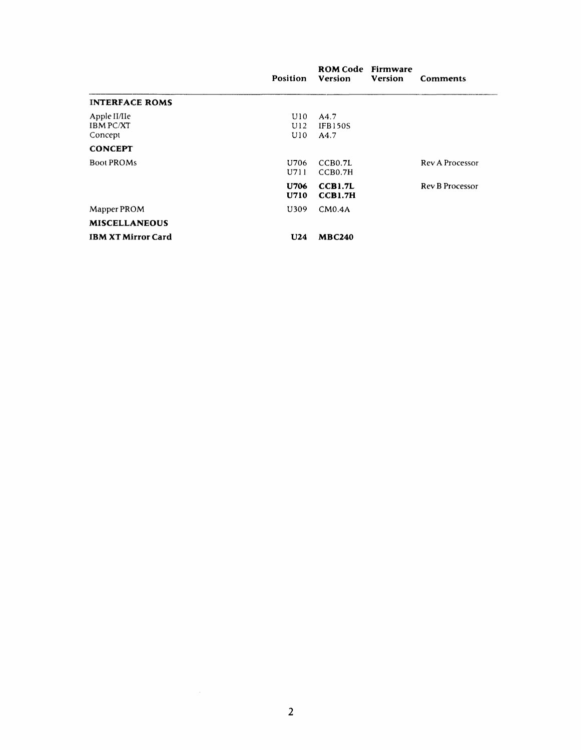|                                             | Position          | <b>ROM Code</b> Firmware<br>Version | <b>Version</b> | <b>Comments</b>        |
|---------------------------------------------|-------------------|-------------------------------------|----------------|------------------------|
| <b>INTERFACE ROMS</b>                       |                   |                                     |                |                        |
| Apple II/IIe<br><b>IBM PC/XT</b><br>Concept | U10<br>U12<br>U10 | A4.7<br><b>IFB150S</b><br>A4.7      |                |                        |
| <b>CONCEPT</b>                              |                   |                                     |                |                        |
| <b>Boot PROMs</b>                           | U706<br>U711      | CCB0.7L<br>CCB0.7H                  |                | <b>Rev A Processor</b> |
|                                             | U706<br>U710      | CCB1.7L<br>CCB1.7H                  |                | Rev B Processor        |
| Mapper PROM                                 | U309              | CM0.4A                              |                |                        |
| <b>MISCELLANEOUS</b>                        |                   |                                     |                |                        |
| <b>IBM XT Mirror Card</b>                   | U24               | <b>MBC240</b>                       |                |                        |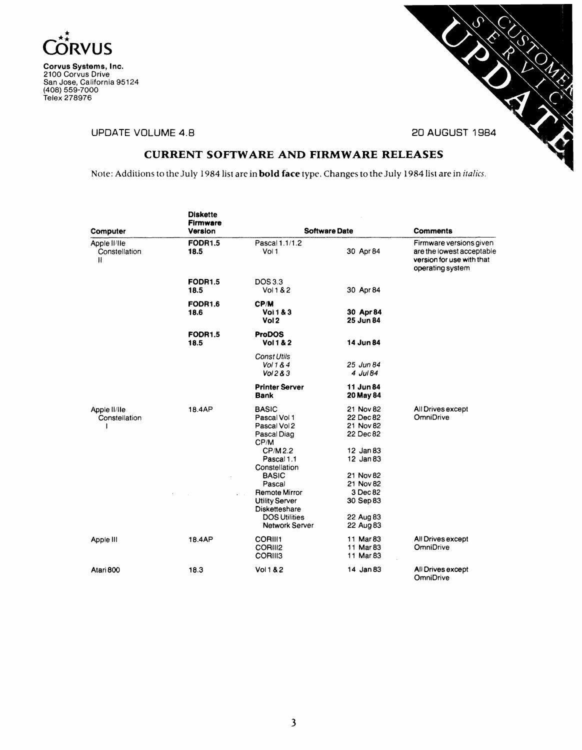



UPDATE VOLUME 4.8 20 AUGUST 1984

# CURRENT SOFTWARE AND FIRMWARE RELEASES

Note: Additions to the July 1984list are in bold face type. Changes to the July 1984list are in *italics.*

| Computer                           | <b>Diskette</b><br><b>Firmware</b><br>Version |                                                                                                        | <b>Software Date</b>                                          | <b>Comments</b>                                                                                       |
|------------------------------------|-----------------------------------------------|--------------------------------------------------------------------------------------------------------|---------------------------------------------------------------|-------------------------------------------------------------------------------------------------------|
| Apple II/IIe<br>Constellation<br>Ħ | <b>FODR1.5</b><br>18.5                        | Pascal 1.1/1.2<br>Vol 1                                                                                | 30 Apr 84                                                     | Firmware versions given<br>are the lowest acceptable<br>version for use with that<br>operating system |
|                                    | <b>FODR1.5</b><br>18.5                        | DOS 3.3<br>Vol 1 & 2                                                                                   | 30 Apr 84                                                     |                                                                                                       |
|                                    | <b>FODR1.6</b><br>18.6                        | CP/M<br><b>Vol 1 &amp; 3</b><br>Vol 2                                                                  | 30 Apr 84<br>25 Jun 84                                        |                                                                                                       |
|                                    | <b>FODR1.5</b><br>18.5                        | <b>ProDOS</b><br><b>Vol 1 &amp; 2</b>                                                                  | 14 Jun 84                                                     |                                                                                                       |
|                                    |                                               | <b>Const Utils</b><br>Vol 1 & 4<br>Vol <sub>2</sub> 8 <sub>3</sub>                                     | 25 Jun 84<br>4 Jul 84                                         |                                                                                                       |
|                                    |                                               | <b>Printer Server</b><br>Bank                                                                          | 11 Jun 84<br>20 May 84                                        |                                                                                                       |
| Apple II/IIe<br>Constellation      | 18.4AP                                        | <b>BASIC</b><br>Pascal Vol 1<br>Pascal Vol 2<br>Pascal Diag<br>CP/M<br>CP/M2.2                         | 21 Nov 82<br>22 Dec 82<br>21 Nov 82<br>22 Dec 82<br>12 Jan 83 | All Drives except<br>OmniDrive                                                                        |
|                                    |                                               | Pascal 1.1<br>Constellation<br><b>BASIC</b><br>Pascal<br><b>Remote Mirror</b><br><b>Utility Server</b> | 12 Jan 83<br>21 Nov 82<br>21 Nov 82<br>3 Dec 82<br>30 Sep 83  |                                                                                                       |
|                                    |                                               | Disketteshare<br><b>DOS Utilities</b><br>Network Server                                                | 22 Aug 83<br>22 Aug 83                                        |                                                                                                       |
| Apple III                          | 18.4AP                                        | <b>CORIII1</b><br>CORIII2<br><b>CORIII3</b>                                                            | 11 Mar 83<br>11 Mar 83<br>11 Mar 83                           | All Drives except<br>OmniDrive                                                                        |
| Atari 800                          | 18.3                                          | Vol 1 & 2                                                                                              | 14 Jan 83                                                     | All Drives except<br><b>OmniDrive</b>                                                                 |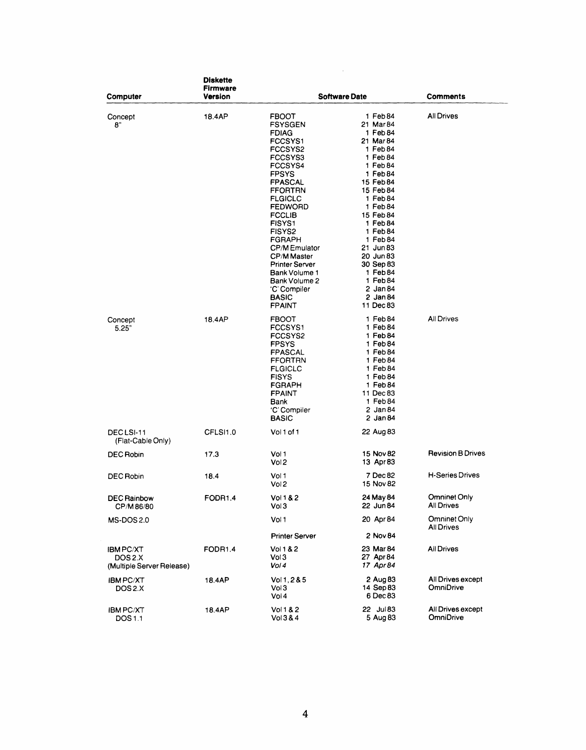|                                                         | <b>Diskette</b><br>Firmware<br>Version |                                                                                                                                                                                                                                                                                                                                             | <b>Comments</b>                                                                                                                                                                                                                                                                                      |                                       |
|---------------------------------------------------------|----------------------------------------|---------------------------------------------------------------------------------------------------------------------------------------------------------------------------------------------------------------------------------------------------------------------------------------------------------------------------------------------|------------------------------------------------------------------------------------------------------------------------------------------------------------------------------------------------------------------------------------------------------------------------------------------------------|---------------------------------------|
| Computer<br>Concept<br>8"                               | 18.4AP                                 | <b>FBOOT</b><br><b>FSYSGEN</b><br><b>FDIAG</b><br>FCCSYS1<br>FCCSYS2<br>FCCSYS3<br>FCCSYS4<br><b>FPSYS</b><br>FPASCAL<br><b>FFORTRN</b><br><b>FLGICLC</b><br><b>FEDWORD</b><br><b>FCCLIB</b><br>FISYS1<br>FISYS2<br>FGRAPH<br><b>CP/MEmulator</b><br><b>CP/M Master</b><br>Printer Server<br>Bank Volume 1<br>Bank Volume 2<br>'C' Compiler | <b>Software Date</b><br>1 Feb 84<br>21 Mar 84<br>1 Feb 84<br>21 Mar 84<br>1 Feb 84<br>1 Feb 84<br>1 Feb 84<br>1 Feb 84<br>15 Feb 84<br>15 Feb 84<br>1 Feb 84<br>1 Feb 84<br>15 Feb 84<br>1 Feb 84<br>1 Feb 84<br>1 Feb 84<br>21 Jun 83<br>20 Jun 83<br>30 Sep 83<br>1 Feb 84<br>1 Feb 84<br>2 Jan 84 | All Drives                            |
| Concept<br>5.25"                                        | 18.4AP                                 | <b>BASIC</b><br>FPAINT<br><b>FBOOT</b><br>FCCSYS1<br>FCCSYS2<br><b>FPSYS</b><br>FPASCAL<br>FFORTRN<br><b>FLGICLC</b><br><b>FISYS</b><br><b>FGRAPH</b><br><b>FPAINT</b><br>Bank<br>'C' Compiler<br><b>BASIC</b>                                                                                                                              | 2 Jan 84<br>11 Dec 83<br>1 Feb 84<br>1 Feb 84<br>1 Feb 84<br>1 Feb 84<br>1 Feb 84<br>1 Feb 84<br>1 Feb 84<br>1 Feb 84<br>$1$ Feb 84<br>11 Dec 83<br>1 Feb 84<br>2 Jan 84<br>2 Jan 84                                                                                                                 | All Drives                            |
| DECLSI-11<br>(Flat-Cable Only)                          | CFLSI1.0                               | Vol 1 of 1                                                                                                                                                                                                                                                                                                                                  | 22 Aug 83                                                                                                                                                                                                                                                                                            |                                       |
| DEC Robin                                               | 17.3                                   | Vol 1<br>Vol <sub>2</sub>                                                                                                                                                                                                                                                                                                                   | 15 Nov 82<br>13 Apr83                                                                                                                                                                                                                                                                                | <b>Revision B Drives</b>              |
| DEC Robin                                               | 18.4                                   | Vol 1<br>Vol <sub>2</sub>                                                                                                                                                                                                                                                                                                                   | 7 Dec 82<br>15 Nov 82                                                                                                                                                                                                                                                                                | <b>H-Series Drives</b>                |
| <b>DEC Rainbow</b><br>CP/M86/80                         | FODR1.4                                | Vol 1 & 2<br>Vol 3                                                                                                                                                                                                                                                                                                                          | 24 May 84<br>22 Jun 84                                                                                                                                                                                                                                                                               | Omninet Only<br>All Drives            |
| <b>MS-DOS 2.0</b>                                       |                                        | Vol 1                                                                                                                                                                                                                                                                                                                                       | 20 Apr 84                                                                                                                                                                                                                                                                                            | Omninet Only<br><b>All Drives</b>     |
|                                                         |                                        | <b>Printer Server</b>                                                                                                                                                                                                                                                                                                                       | 2 Nov 84                                                                                                                                                                                                                                                                                             |                                       |
| <b>IBMPC/XT</b><br>DOS 2.X<br>(Multiple Server Release) | FODR1.4                                | Vol 1 & 2<br>Vol 3<br>Vol 4                                                                                                                                                                                                                                                                                                                 | 23 Mar 84<br>27 Apr 84<br>17 Apr84                                                                                                                                                                                                                                                                   | All Drives                            |
| <b>IBM PC/XT</b><br>DOS <sub>2</sub> .X                 | 18.4AP                                 | Vol 1, 2 & 5<br>Vol 3<br>Voi 4                                                                                                                                                                                                                                                                                                              | 2 Aug 83<br>14 Sep 83<br>6 Dec 83                                                                                                                                                                                                                                                                    | All Drives except<br><b>OmniDrive</b> |
| <b>IBM PC/XT</b><br>DOS 1.1                             | 18.4AP                                 | Vol 1 & 2<br>Vol 3 & 4                                                                                                                                                                                                                                                                                                                      | 22 Jul 83<br>5 Aug 83                                                                                                                                                                                                                                                                                | All Drives except<br><b>OmniDrive</b> |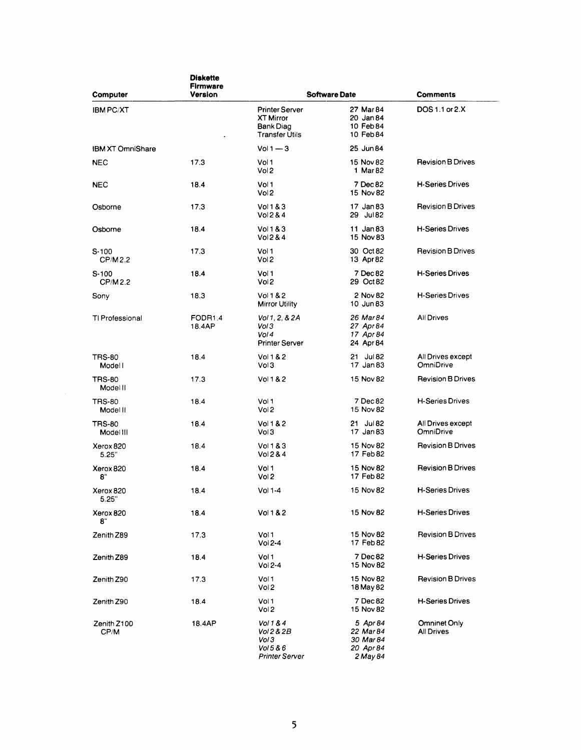| Computer                   | <b>Diskette</b><br><b>Firmware</b><br>Version |                                                                                        | <b>Software Date</b>                                        | <b>Comments</b>                   |
|----------------------------|-----------------------------------------------|----------------------------------------------------------------------------------------|-------------------------------------------------------------|-----------------------------------|
| <b>IBM PC/XT</b>           |                                               | <b>Printer Server</b><br><b>XT Mirror</b><br><b>Bank Diag</b><br><b>Transfer Utils</b> | 27 Mar 84<br>20 Jan 84<br>10 Feb 84<br>10 Feb 84            | DOS 1.1 or 2.X                    |
| <b>IBM XT OmniShare</b>    |                                               | $Vol1 - 3$                                                                             | 25 Jun 84                                                   |                                   |
| <b>NEC</b>                 | 17.3                                          | Vol 1<br>Vol <sub>2</sub>                                                              | 15 Nov 82<br>1 Mar 82                                       | <b>Revision B Drives</b>          |
| <b>NEC</b>                 | 18.4                                          | Vol 1<br>Vol <sub>2</sub>                                                              | 7 Dec 82<br>15 Nov 82                                       | <b>H-Series Drives</b>            |
| Osborne                    | 17.3                                          | Vol183<br>Vol 2 & 4                                                                    | 17 Jan 83<br>29 Jul 82                                      | <b>Revision B Drives</b>          |
| Osborne                    | 18.4                                          | Vol183<br>Vol <sub>2</sub> 8.4                                                         | 11 Jan 83<br>15 Nov 83                                      | <b>H-Series Drives</b>            |
| $S-100$<br>CP/M2.2         | 17.3                                          | Vol 1<br>Vol 2                                                                         | 30 Oct 82<br>13 Apr 82                                      | <b>Revision B Drives</b>          |
| $S-100$<br>CP/M2.2         | 18.4                                          | Vol1<br>Vol <sub>2</sub>                                                               | 7 Dec 82<br>29 Oct 82                                       | <b>H-Series Drives</b>            |
| Sony                       | 18.3                                          | Vol 1 & 2<br><b>Mirror Utility</b>                                                     | 2 Nov 82<br>10 Jun 83                                       | <b>H-Series Drives</b>            |
| TI Professional            | FODR <sub>1.4</sub><br>18.4AP                 | Vol 1, 2, & 2A<br>Vol 3<br>Vol 4<br><b>Printer Server</b>                              | 26 Mar 84<br>27 Apr 84<br>17 Apr 84<br>24 Apr 84            | All Drives                        |
| <b>TRS-80</b><br>Modell    | 18.4                                          | Vol 1 & 2<br>Vol 3                                                                     | 21 Jul 82<br>17 Jan 83                                      | All Drives except<br>OmniDrive    |
| <b>TRS-80</b><br>Model II  | 17.3                                          | Vol182                                                                                 | 15 Nov 82                                                   | <b>Revision B Drives</b>          |
| <b>TRS-80</b><br>Model II  | 18.4                                          | Vol 1<br>Vol 2                                                                         | 7 Dec 82<br>15 Nov 82                                       | <b>H-Series Drives</b>            |
| <b>TRS-80</b><br>Model III | 18.4                                          | Vol 1 & 2<br>Vol 3                                                                     | 21 Jul 82<br>17 Jan 83                                      | All Drives except<br>OmniDrive    |
| Xerox 820<br>5.25"         | 18.4                                          | Vol 1 & 3<br>Vol 2 & 4                                                                 | 15 Nov 82<br>17 Feb 82                                      | <b>Revision B Drives</b>          |
| Xerox 820<br>8"            | 18.4                                          | Vol 1<br>Vol 2                                                                         | 15 Nov 82<br>17 Feb 82                                      | <b>Revision B Drives</b>          |
| Xerox 820<br>5.25"         | 18.4                                          | $Vol 1-4$                                                                              | 15 Nov 82                                                   | <b>H-Series Drives</b>            |
| Xerox 820<br>8"            | 18.4                                          | Vol182                                                                                 | 15 Nov 82                                                   | <b>H-Series Drives</b>            |
| Zenith Z89                 | 17.3                                          | Vol 1<br>$Vol2-4$                                                                      | 15 Nov 82<br>17 Feb 82                                      | <b>Revision B Drives</b>          |
| Zenith Z89                 | 18.4                                          | Vol 1<br>Vol 2-4                                                                       | 7 Dec 82<br>15 Nov 82                                       | H-Series Drives                   |
| Zenith Z90                 | 17.3                                          | Vol 1<br>Vol <sub>2</sub>                                                              | 15 Nov 82<br>18 May 82                                      | <b>Revision B Drives</b>          |
| Zenith Z90                 | 18.4                                          | Vol 1<br>Vol 2                                                                         | 7 Dec 82<br>15 Nov 82                                       | H-Series Drives                   |
| Zenith Z100<br>CP/M        | 18.4AP                                        | Vol 1 & 4<br>Vol 2 & 2B<br>Vol 3<br>Vol 5 & 6<br><b>Printer Server</b>                 | 5 Apr 84<br>22 Mar 84<br>30 Mar 84<br>20 Apr 84<br>2 May 84 | Omninet Only<br><b>All Drives</b> |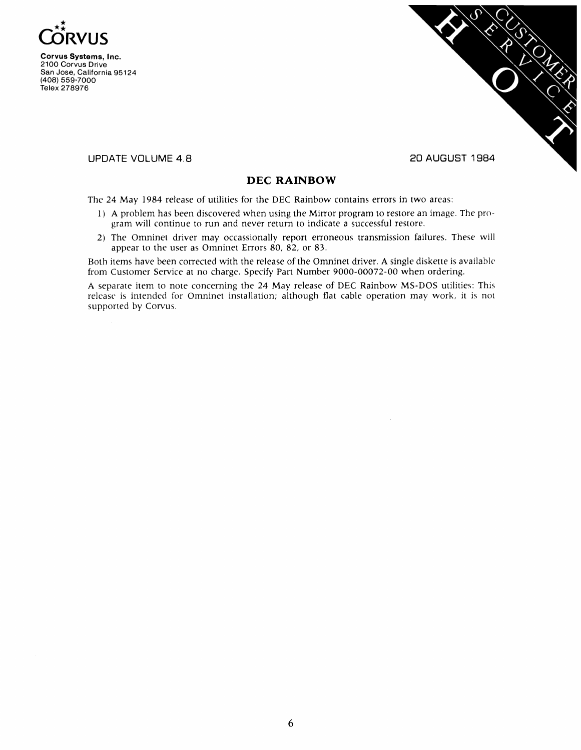



**UPDATE VOLUME** 4.8

#### **20 AUGUST 1984**

## **DEC RAINBOW**

The 24 May 1984 release of utilities for the DEC Rainbow contains errors in two areas:

- I) A problem has been discovered when using the Mirror program to restore an image. The program will continue to run and never return to indicate a successful restore.
- 2) The Omninet driver may occassionally repon erroneous transmission failures. These will appear to the user as Omninet Errors  $80, 82$ , or  $83$ .

Both items have been corrected with the release of the Omninet driver. A single diskette is available from Customer Service at no charge. Specify Part Number 9000-00072-00 when ordering.

A separate item to note concerning the 24 May release of DEC Rainbow MS-DOS utilities: This release is intended for Omninet installation; although flat cable operation may work, it is not supported by Corvus.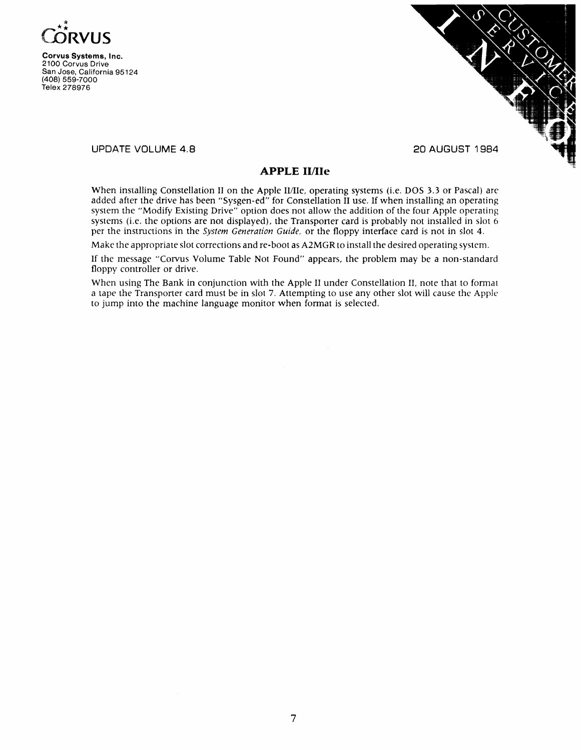



UPDATE VOLUME 4.8

### **APPLE lIllIe**

When installing Constellation II on the Apple II/IIe, operating systems (i.e. DOS 3.3 or Pascal) are added after the drive has been "Sysgen-ed" for Constellation II use. If when installing an operating system the "Modify Existing Drive" option does not allow the addition of the four Apple operating systems (i.e. the options are not displayed), the Transporter card is probably not installed in slot 6 per the instructions in the *System Generation Guide.* or the floppy interface card is not in slot 4.

Make the appropriate slot corrections and re-boot as A2MGR to install the desired operating system.

If the message "Corvus Volume Table Not Found" appears, the problem may be a non-standard floppy controller or drive.

When using The Bank in conjunction with the Apple II under Constellation II, note that to format a tape the Transponer card must be in slot 7. Attempting to use any other slot will cause the Apple to jump into the machine language monitor when format is selected.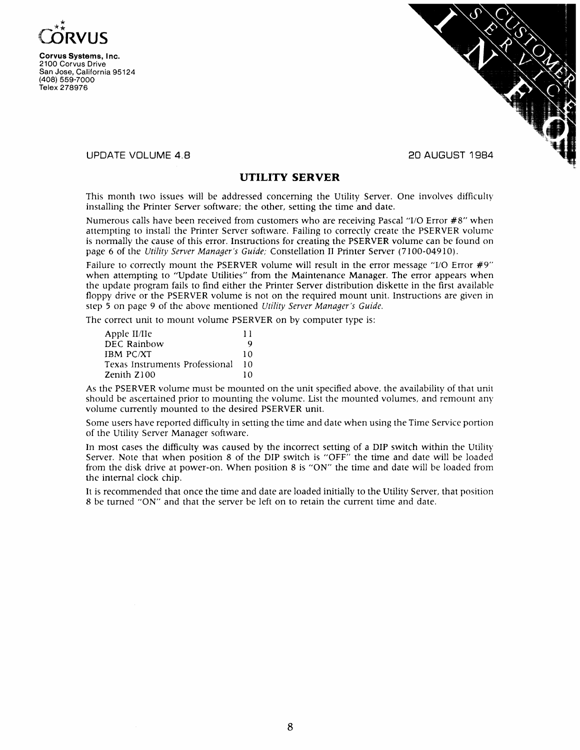



#### UPDATE VOLUME 4.8

#### **UTILITY SERVER**

This month two issues will be addressed concerning the Utility Server. One involves difficulty installing the Printer Server software; the other, setting the time and date.

Numerous calls have been received from customers who are receiving Pascal "I/O Error #8" when attempting to install the Printer Server software. Failing to correctly create the PSERVER volume is normally the cause of this error. Instructions for creating the PSERVER volume can be found on page 6 of the *Utility Server Manager's Guide;* Constellation II Printer Server (7100-04910).

Failure to correctly mount the PSERVER volume will result in the error message "I/O Error #9" when attempting to "Update Utilities" from the Maintenance Manager. The error appears when the update program fails to find either the Printer Server distribution diskette in the first available floppy drive or the PSERVER volume is not on the required mount unit. Instructions are given in step 5 on page 9 of the above mentioned *Utility Server Manager's Guide.*

The correct unit to mount volume PSERVER on by computer type is:

| Apple II/IIe                   | 11 |
|--------------------------------|----|
| DEC Rainbow                    | Q  |
| <b>IBM PC/XT</b>               | 10 |
| Texas Instruments Professional | 10 |
| Zenith Z100                    | 10 |

As the PSERVER volume must be mounted on the unit specified above, the availability of that unit should be ascertained prior to mounting the volume. List the mounted volumes, and remount any volume currently mounted to the desired PSERVER unit.

Some users have reported difficulty in setting the time and date when using the Time Service portion of the Utility Server Manager software.

In most cases the difficulty was caused by the incorrect setting of a DIP switch within the Utility Server. Note that when position 8 of the DIP switch is "OFF" the time and date will be loaded from the disk drive at power-on. When position 8 is "ON" the time and date will be loaded from the internal clock chip.

It is recommended that once the time and date are loaded initially to the Utility Server, that position 8 be turned "ON" and that the server be left on to retain the current time and date.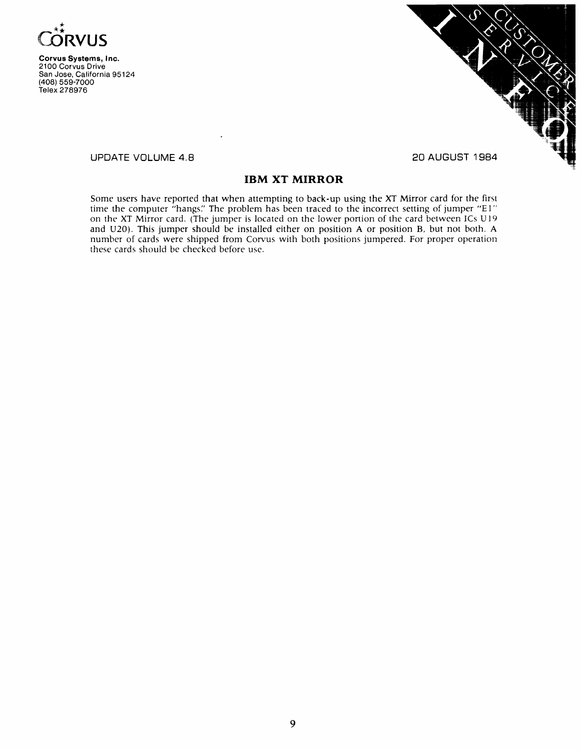



UPDATE VOLUME 4.8

20 AUGUST 1984

## **IBM XT MIRROR**

Some users have reported that when attempting to back-up using the XT Mirror card for the first time the computer "hangs." The problem has been traced to the incorrect setting of jumper "E1" on the XT Mirror card. (The jumper is located on the lower portion of the card between ICs UI 9 and U20). This jumper should be installed either on position A or position B, but not both. A number of cards were shipped from Corvus with both positions jumpered. For proper operation these cards should be checked before use.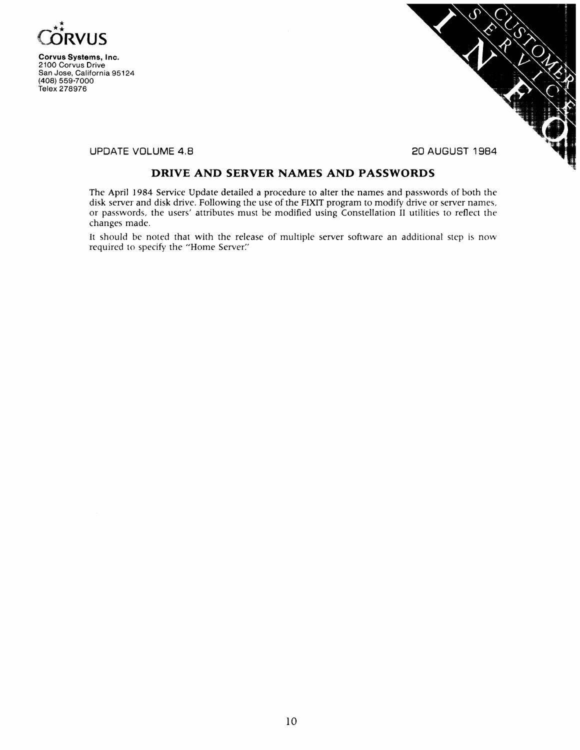



UPDATE VOLUME 4.8 20 AUGUST 1984

## **DRIVE AND SERVER NAMES AND PASSWORDS**

The April 1984 Service Update detailed a procedure to alter the names and passwords of both the disk server and disk drive. Following the use of the FIXIT program to modify drive or server names, or passwords, the users' attributes must be modified using Constellation II utilities to reflect the changes made.

It should be noted that with the release of multiple server software an additional step is now required to specify the "Home Server:'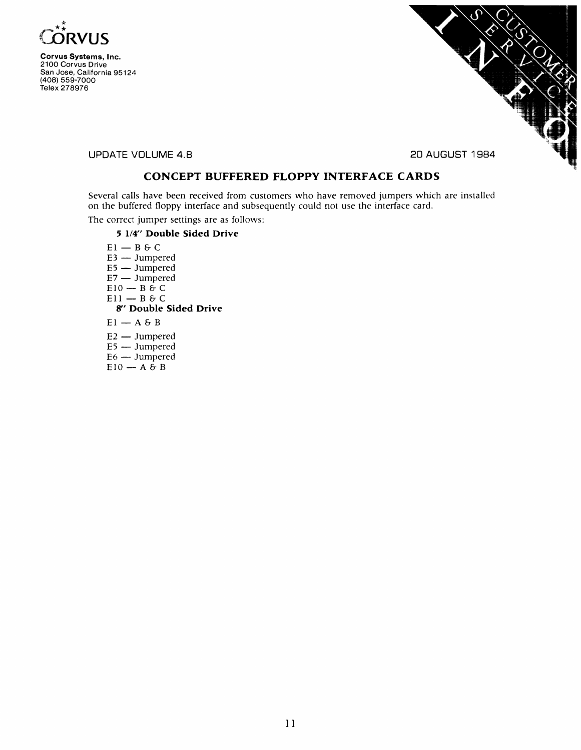



**UPDATE VOLUME** 4.8 **20 AUGUST 1984**

## **CONCEPT BUFFERED FLOPPY INTERFACE CARDS**

Several calls have been received from customers who have removed jumpers which are installed on the buffered floppy interface and subsequently could not use the interface card.

The correct jumper settings are as follows:

#### **5 114" Double Sided Drive**

 $E1 - B6C$  $E3 - J$ umpered  $E5 - J$ umpered  $E7 - J$ umpered  $E10 - B \hat{c} C$  $E11 - B6C$ **8" Double Sided Drive**  $EI - A 6 B$  $E2 - J$ umpered  $E5 - J$ umpered  $E6 - J$ umpered  $E10 - A \overrightarrow{B} B$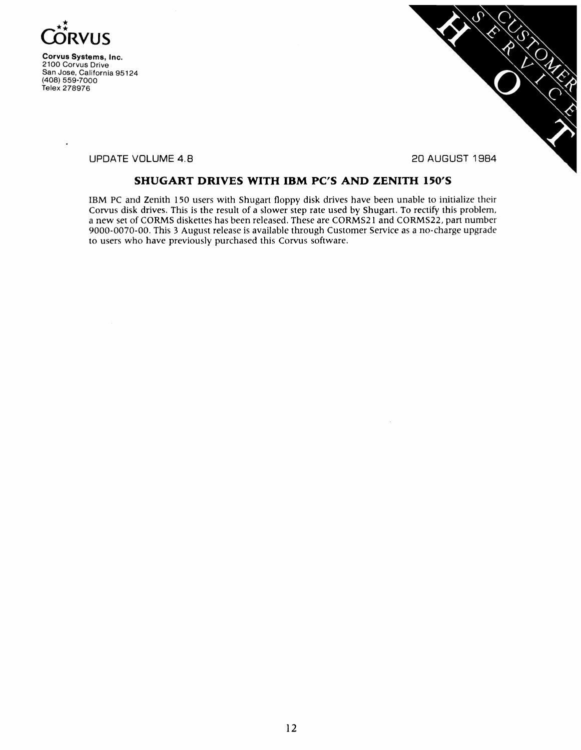



UPDATE VOLUME 4.8 20 AUGUST 1984

## **SHUGART DRIVES WITH IBM PC'S AND ZENITH 150'S**

IBM PC and Zenith 150 users with Shugart floppy disk drives have been unable to initialize their Corvus disk drives. This is the result of a slower step rate used by Shugart. To rectify this problem, a new set of CORMS diskettes has been released. These are CORMS21 and CORMS22, part number 9000-0070-00. This 3 August release is available through Customer Service as a no-charge upgrade to users who have previously purchased this Corvus software.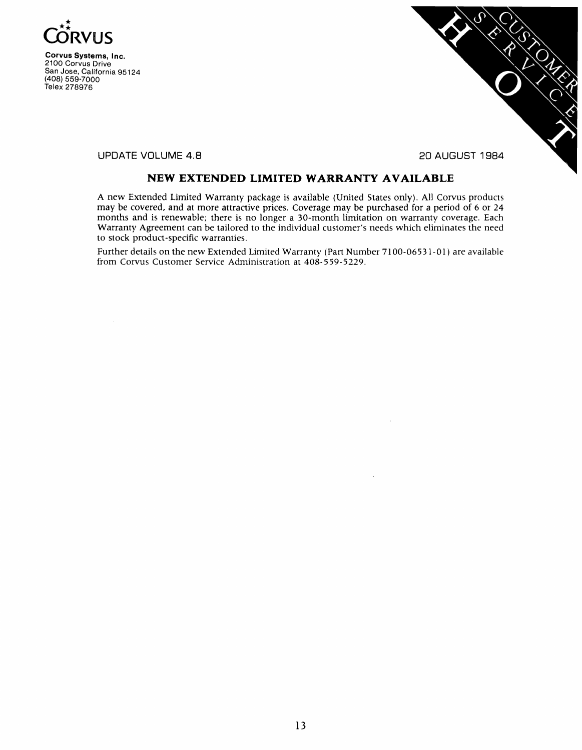



UPDATE VOLUME 4.8 20 AUGUST 1984

## **NEW EXTENDED LIMITED WARRANTY AVAILABLE**

A new Extended Limited Warranty package is available (United States only). All Corvus products may be covered, and at more attractive prices. Coverage may be purchased for a period of 6 or 24 months and is renewable; there is no longer a 30-month limitation on warranty coverage. Each Warranty Agreement can be tailored to the individual customer's needs which eliminates the need to stock product-specific warranties.

Further details on the new Extended Limited Warranty (Part Number 7100-06531-01) are available from Corvus Customer Service Administration at 408-559-5229.